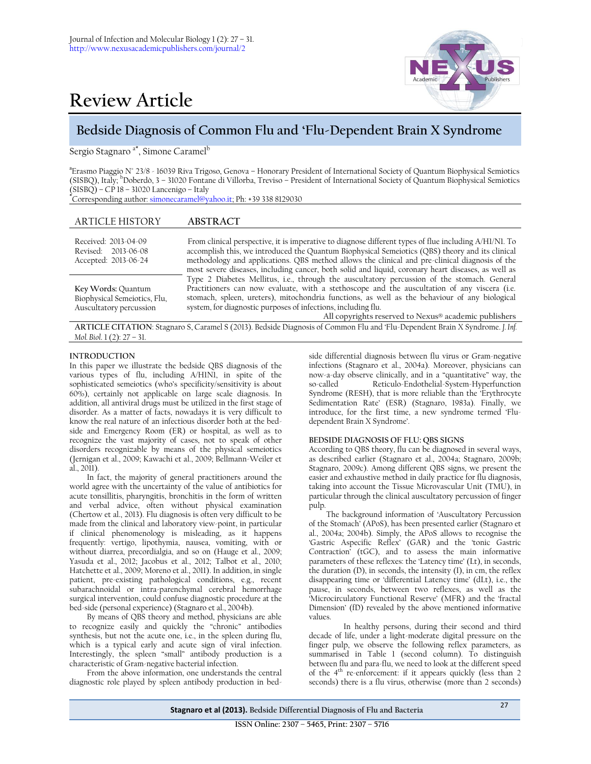

# **Review Article**

# **Bedside Diagnosis of Common Flu and 'Flu-Dependent Brain X Syndrome**

Sergio Stagnaro <sup>a\*</sup>, Simone Caramel<sup>b</sup>

**a** Erasmo Piaggio N° 23/8 - 16039 Riva Trigoso, Genova – Honorary President of International Society of Quantum Biophysical Semiotics (SISBQ), Italy; <sup>b</sup>Doberdò, 3 – 31020 Fontane di Villorba, Treviso – President of International Society of Quantum Biophysical Semiotics (SISBQ) – CP 18 – 31020 Lancenigo – Italy

**\***Corresponding author: [simonecaramel@yahoo.it;](mailto:simonecaramel@yahoo.it) Ph: +39 338 8129030

## ARTICLE HISTORY **ABSTRACT**

| Received: 2013-04-09<br>Revised: 2013-06-08<br>Accepted: 2013-06-24           | From clinical perspective, it is imperative to diagnose different types of flue including A/H1/N1. To<br>accomplish this, we introduced the Quantum Biophysical Semeiotics (QBS) theory and its clinical<br>methodology and applications. QBS method allows the clinical and pre-clinical diagnosis of the<br>most severe diseases, including cancer, both solid and liquid, coronary heart diseases, as well as       |
|-------------------------------------------------------------------------------|------------------------------------------------------------------------------------------------------------------------------------------------------------------------------------------------------------------------------------------------------------------------------------------------------------------------------------------------------------------------------------------------------------------------|
| Key Words: Quantum<br>Biophysical Semeiotics, Flu,<br>Auscultatory percussion | Type 2 Diabetes Mellitus, i.e., through the auscultatory percussion of the stomach. General<br>Practitioners can now evaluate, with a stethoscope and the auscultation of any viscera (i.e.<br>stomach, spleen, ureters), mitochondria functions, as well as the behaviour of any biological<br>system, for diagnostic purposes of infections, including flu.<br>All copyrights reserved to Nexus® academic publishers |

**ARTICLE CITATION**: Stagnaro S, Caramel S (2013). Bedside Diagnosis of Common Flu and 'Flu-Dependent Brain X Syndrome. *J. Inf. Mol. Biol*. 1 (2): 27 – 31.

### **INTRODUCTION**

In this paper we illustrate the bedside QBS diagnosis of the various types of flu, including A/H1N1, in spite of the sophisticated semeiotics (who's specificity/sensitivity is about 60%), certainly not applicable on large scale diagnosis. In addition, all antiviral drugs must be utilized in the first stage of disorder. As a matter of facts, nowadays it is very difficult to know the real nature of an infectious disorder both at the bedside and Emergency Room (ER) or hospital, as well as to recognize the vast majority of cases, not to speak of other disorders recognizable by means of the physical semeiotics (Jernigan et al., 2009; Kawachi et al., 2009; Bellmann-Weiler et al., 2011).

In fact, the majority of general practitioners around the world agree with the uncertainty of the value of antibiotics for acute tonsillitis, pharyngitis, bronchitis in the form of written and verbal advice, often without physical examination (Chertow et al., 2013). Flu diagnosis is often very difficult to be made from the clinical and laboratory view-point, in particular if clinical phenomenology is misleading, as it happens frequently: vertigo, lipothymia, nausea, vomiting, with or without diarrea, precordialgia, and so on (Hauge et al., 2009; Yasuda et al., 2012; Jacobus et al., 2012; Talbot et al., 2010; Hatchette et al., 2009; Moreno et al., 2011). In addition, in single patient, pre-existing pathological conditions, e.g., recent subarachnoidal or intra-parenchymal cerebral hemorrhage surgical intervention, could confuse diagnostic procedure at the bed-side (personal experience) (Stagnaro et al., 2004b).

By means of QBS theory and method, physicians are able to recognize easily and quickly the "chronic" antibodies synthesis, but not the acute one, i.e., in the spleen during flu, which is a typical early and acute sign of viral infection. Interestingly, the spleen "small" antibody production is a characteristic of Gram-negative bacterial infection.

From the above information, one understands the central diagnostic role played by spleen antibody production in bed-

side differential diagnosis between flu virus or Gram-negative infections (Stagnaro et al., 2004a). Moreover, physicians can now-a-day observe clinically, and in a "quantitative" way, the so-called Reticulo-Endothelial-System-Hyperfunction Syndrome (RESH), that is more reliable than the 'Erythrocyte Sedimentation Rate' (ESR) (Stagnaro, 1983a). Finally, we introduce, for the first time, a new syndrome termed 'Fludependent Brain X Syndrome'.

#### **BEDSIDE DIAGNOSIS OF FLU: QBS SIGNS**

According to QBS theory, flu can be diagnosed in several ways, as described earlier (Stagnaro et al., 2004a; Stagnaro, 2009b; Stagnaro, 2009c). Among different QBS signs, we present the easier and exhaustive method in daily practice for flu diagnosis, taking into account the Tissue Microvascular Unit (TMU), in particular through the clinical auscultatory percussion of finger pulp.

The background information of 'Auscultatory Percussion of the Stomach' (APoS), has been presented earlier (Stagnaro et al., 2004a; 2004b). Simply, the APoS allows to recognise the 'Gastric Aspecific Reflex' (GAR) and the 'tonic Gastric Contraction' (tGC), and to assess the main informative parameters of these reflexes: the 'Latency time' (Lt), in seconds, the duration (D), in seconds, the intensity (I), in cm, the reflex disappearing time or 'differential Latency time' (dLt), i.e., the pause, in seconds, between two reflexes, as well as the 'Microcirculatory Functional Reserve' (MFR) and the 'fractal Dimension' (fD) revealed by the above mentioned informative values.

In healthy persons, during their second and third decade of life, under a light-moderate digital pressure on the finger pulp, we observe the following reflex parameters, as summarised in Table 1 (second column). To distinguish between flu and para-flu, we need to look at the different speed of the 4<sup>th</sup> re-enforcement: if it appears quickly (less than 2 seconds) there is a flu virus, otherwise (more than 2 seconds)

**Stagnaro et al (2013). Bedside Differential Diagnosis of Flu and Bacteria** <sup>27</sup>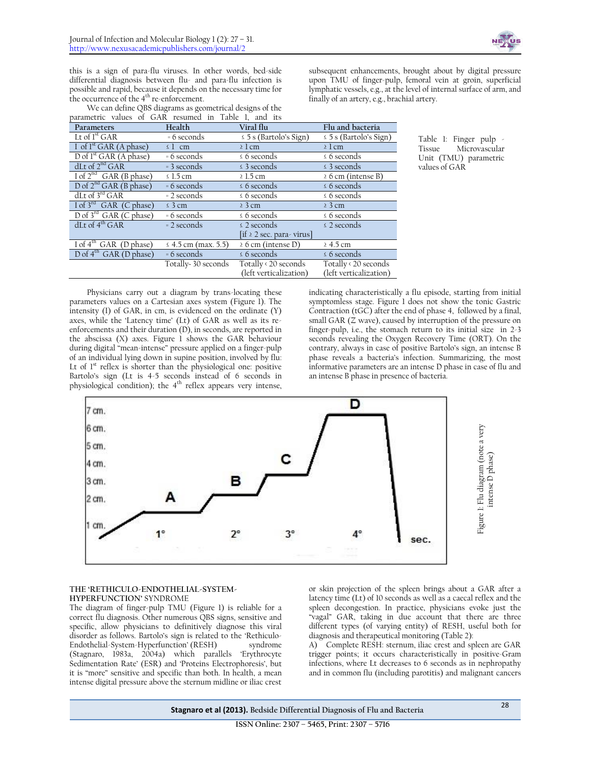

this is a sign of para-flu viruses. In other words, bed-side differential diagnosis between flu- and para-flu infection is possible and rapid, because it depends on the necessary time for the occurrence of the 4<sup>th</sup> re-enforcement.

We can define QBS diagrams as geometrical designs of the patric values of  $GAD$  resumed in Table 1, and its

subsequent enhancements, brought about by digital pressure upon TMU of finger-pulp, femoral vein at groin, superficial lymphatic vessels, e.g., at the level of internal surface of arm, and finally of an artery, e.g., brachial artery.

| parametric values of GAR resumed in Taple I, and its |                     |                               |                             |  |  |  |  |  |
|------------------------------------------------------|---------------------|-------------------------------|-----------------------------|--|--|--|--|--|
| Parameters                                           | Health              | Viral flu                     |                             |  |  |  |  |  |
| Lt of $1^{\rm st}$ GAR                               | = 6 seconds         | $\leq$ 5 s (Bartolo's Sign)   | $\leq$ 5 s (Bartolo's Sign) |  |  |  |  |  |
| I of $Ist GAR$ (A phase)                             | $\leq$ 1 cm         | $\geq$ 1 cm                   | $\geq$ 1 cm                 |  |  |  |  |  |
| D of $1st GAR$ (A phase)                             | = 6 seconds         | $\leq 6$ seconds              | $\leq 6$ seconds            |  |  |  |  |  |
| dLt of $2^{nd}$ GAR                                  | = 3 seconds         | $\leq$ 3 seconds              | $\leq$ 3 seconds            |  |  |  |  |  |
| $\overline{I}$ of $2^{\text{nd}}$ GAR (B phase)      | $\leq 1.5$ cm       | $\geq 1.5$ cm                 | $\geq 6$ cm (intense B)     |  |  |  |  |  |
| D of $2^{nd}$ GAR (B phase)                          | = 6 seconds         | $\leq 6$ seconds              | $\leq 6$ seconds            |  |  |  |  |  |
| dLt of $3^{rd}$ GAR                                  | = 2 seconds         | $\leq 6$ seconds              | $\leq 6$ seconds            |  |  |  |  |  |
| I of $3^{\text{rd}}$ GAR (C phase)                   | $\leq$ 3 cm         | $\geq$ 3 cm                   | $\geq$ 3 cm                 |  |  |  |  |  |
| $\overline{D}$ of $3^{rd}$ GAR (C phase)             | = 6 seconds         | $\leq 6$ seconds              | $\leq 6$ seconds            |  |  |  |  |  |
| $dI$ t of $4th GAR$                                  | $= 2$ seconds       | $\leq$ 2 seconds              | $\leq$ 2 seconds            |  |  |  |  |  |
|                                                      |                     | [if $\geq 2$ sec. para-virus] |                             |  |  |  |  |  |
| $I \circ f$ <sup>Th</sup> GAR (D phase)              | ≤ 4.5 cm (max. 5.5) | $\geq 6$ cm (intense D)       | $\geq 4.5$ cm               |  |  |  |  |  |
| $D$ of $4th$ GAR (D phase)                           | $= 6$ seconds       | $\leq 6$ seconds              | $\leq 6$ seconds            |  |  |  |  |  |
|                                                      | Totally-30 seconds  | Totally < 20 seconds          | Totally < 20 seconds        |  |  |  |  |  |
|                                                      |                     | (left verticalization)        | (left verticalization)      |  |  |  |  |  |

Table 1: Finger pulp - Microvascular Unit (TMU) parametric values of GAR

Physicians carry out a diagram by trans-locating these parameters values on a Cartesian axes system (Figure 1). The intensity (I) of GAR, in cm, is evidenced on the ordinate (Y) axes, while the 'Latency time' (Lt) of GAR as well as its reenforcements and their duration (D), in seconds, are reported in the abscissa (X) axes. Figure 1 shows the GAR behaviour during digital "mean-intense" pressure applied on a finger-pulp of an individual lying down in supine position, involved by flu: Lt of  $1<sup>st</sup>$  reflex is shorter than the physiological one: positive Bartolo's sign (Lt is 4-5 seconds instead of 6 seconds in physiological condition); the  $4<sup>th</sup>$  reflex appears very intense,

indicating characteristically a flu episode, starting from initial symptomless stage. Figure 1 does not show the tonic Gastric Contraction (tGC) after the end of phase 4, followed by a final, small GAR (Z wave), caused by interruption of the pressure on finger-pulp, i.e., the stomach return to its initial size in 2-3 seconds revealing the Oxygen Recovery Time (ORT). On the contrary, always in case of positive Bartolo's sign, an intense B phase reveals a bacteria's infection. Summarizing, the most informative parameters are an intense D phase in case of flu and an intense B phase in presence of bacteria.



#### **THE 'RETHICULO-ENDOTHELIAL-SYSTEM-HYPERFUNCTION'** SYNDROME

The diagram of finger-pulp TMU (Figure 1) is reliable for a correct flu diagnosis. Other numerous QBS signs, sensitive and specific, allow physicians to definitively diagnose this viral disorder as follows. Bartolo's sign is related to the 'Rethiculo-Endothelial-System-Hyperfunction' (RESH) syndrome (Stagnaro, 1983a, 2004a) which parallels 'Erythrocyte Sedimentation Rate' (ESR) and 'Proteins Electrophoresis', but it is "more" sensitive and specific than both. In health, a mean intense digital pressure above the sternum midline or iliac crest

or skin projection of the spleen brings about a GAR after a latency time (Lt) of 10 seconds as well as a caecal reflex and the spleen decongestion. In practice, physicians evoke just the "vagal" GAR, taking in due account that there are three different types (of varying entity) of RESH, useful both for diagnosis and therapeutical monitoring (Table 2):

A) Complete RESH: sternum, iliac crest and spleen are GAR trigger points; it occurs characteristically in positive-Gram infections, where Lt decreases to 6 seconds as in nephropathy and in common flu (including parotitis) and malignant cancers

**Stagnaro et al (2013). Bedside Differential Diagnosis of Flu and Bacteria** <sup>28</sup>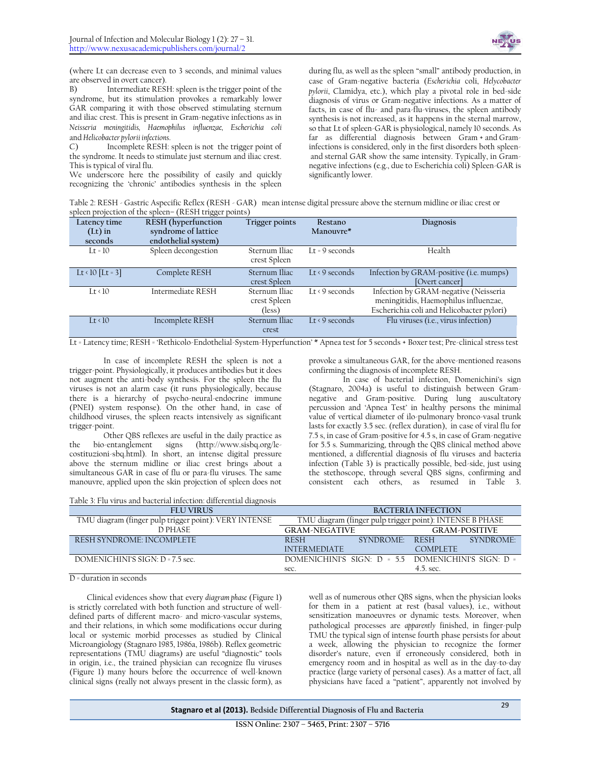

(where Lt can decrease even to 3 seconds, and minimal values are observed in overt cancer).

B) Intermediate RESH: spleen is the trigger point of the syndrome, but its stimulation provokes a remarkably lower GAR comparing it with those observed stimulating sternum and iliac crest. This is present in Gram-negative infections as in *Neisseria meningitidis, Haemophilus influenzae, Escherichia coli* and *Helicobacter pylorii infections*.

C) Incomplete RESH: spleen is not the trigger point of the syndrome. It needs to stimulate just sternum and iliac crest. This is typical of viral flu.

We underscore here the possibility of easily and quickly recognizing the 'chronic' antibodies synthesis in the spleen

during flu, as well as the spleen "small" antibody production, in case of Gram-negative bacteria (*Escherichia* coli, *Helycobacter pylorii*, Clamidya, etc.), which play a pivotal role in bed-side diagnosis of virus or Gram-negative infections. As a matter of facts, in case of flu- and para-flu-viruses, the spleen antibody synthesis is not increased, as it happens in the sternal marrow, so that Lt of spleen-GAR is physiological, namely 10 seconds. As far as differential diagnosis between Gram + and Graminfections is considered, only in the first disorders both spleenand sternal GAR show the same intensity. Typically, in Gramnegative infections (e.g., due to Escherichia coli) Spleen-GAR is significantly lower.

Table 2: RESH - Gastric Aspecific Reflex (RESH - GAR) mean intense digital pressure above the sternum midline or iliac crest or spleen projection of the spleen– (RESH trigger points)

| Latency time<br>$(Lt)$ in | <b>RESH</b> (hyperfunction<br>syndrome of lattice | Trigger points                          | Restano<br>Manouvre*         | Diagnosis                                                                                                                   |
|---------------------------|---------------------------------------------------|-----------------------------------------|------------------------------|-----------------------------------------------------------------------------------------------------------------------------|
| seconds                   | endothelial system)                               |                                         |                              |                                                                                                                             |
| $1t = 10$                 | Spleen decongestion                               | Sternum Iliac<br>crest Spleen           | Lt = $9$ seconds             | Health                                                                                                                      |
| $Lt \cdot 10 \, [Lt = 3]$ | Complete RESH                                     | Sternum Iliac                           | $It \le 9$ seconds           | Infection by GRAM-positive (i.e. mumps)                                                                                     |
|                           |                                                   | crest Spleen                            |                              | [Overt cancer]                                                                                                              |
| It < 10                   | Intermediate RESH                                 | Sternum Iliac<br>crest Spleen<br>(less) | $Lt \triangleleft 9$ seconds | Infection by GRAM-negative (Neisseria<br>meningitidis, Haemophilus influenzae,<br>Escherichia coli and Helicobacter pylori) |
| It < 10                   | Incomplete RESH                                   | Sternum Iliac<br>crest                  | $It \leq 9$ seconds          | Flu viruses (i.e., virus infection)                                                                                         |

Lt = Latency time; RESH = 'Rethicolo-Endothelial-System-Hyperfunction' \* Apnea test for 5 seconds + Boxer test; Pre-clinical stress test

In case of incomplete RESH the spleen is not a trigger-point. Physiologically, it produces antibodies but it does not augment the anti-body synthesis. For the spleen the flu viruses is not an alarm case (it runs physiologically, because there is a hierarchy of psycho-neural-endocrine immune (PNEI) system response). On the other hand, in case of childhood viruses, the spleen reacts intensively as significant trigger-point.

Other QBS reflexes are useful in the daily practice as the bio-entanglement signs (http://www.sisbq.org/lecostituzioni-sbq.html). In short, an intense digital pressure above the sternum midline or iliac crest brings about a simultaneous GAR in case of flu or para-flu viruses. The same manouvre, applied upon the skin projection of spleen does not

provoke a simultaneous GAR, for the above-mentioned reasons confirming the diagnosis of incomplete RESH.

In case of bacterial infection, Domenichini's sign (Stagnaro, 2004a) is useful to distinguish between Gramnegative and Gram-positive. During lung auscultatory percussion and 'Apnea Test' in healthy persons the minimal value of vertical diameter of ilo-pulmonary bronco-vasal trunk lasts for exactly 3.5 sec. (reflex duration), in case of viral flu for 7.5 s, in case of Gram-positive for 4.5 s, in case of Gram-negative for 5.5 s. Summarizing, through the QBS clinical method above mentioned, a differential diagnosis of flu viruses and bacteria infection (Table 3) is practically possible, bed-side, just using the stethoscope, through several QBS signs, confirming and consistent each others, as resumed in Table 3.

Table 3: Flu virus and bacterial infection: differential diagnosis

| <b>FLU VIRUS</b>                                      | <b>BACTERIA INFECTION</b>                              |                                                          |                 |          |  |
|-------------------------------------------------------|--------------------------------------------------------|----------------------------------------------------------|-----------------|----------|--|
| TMU diagram (finger pulp trigger point): VERY INTENSE |                                                        | TMU diagram (finger pulp trigger point): INTENSE B PHASE |                 |          |  |
| D PHASE<br><b>GRAM-NEGATIVE</b>                       |                                                        | <b>GRAM-POSITIVE</b>                                     |                 |          |  |
| RESH SYNDROME: INCOMPLETE                             | <b>RESH</b>                                            | SYNDROMF                                                 | <b>RESH</b>     | SYNDROMF |  |
|                                                       | <b>INTERMEDIATE</b>                                    |                                                          | <b>COMPLETE</b> |          |  |
| DOMENICHINI'S SIGN: D = 7.5 sec.                      | DOMENICHINI'S SIGN: $D = 55$ DOMENICHINI'S SIGN: $D =$ |                                                          |                 |          |  |
|                                                       | sec.                                                   |                                                          | $4.5.$ sec.     |          |  |

D = duration in seconds

Clinical evidences show that every *diagram phase* (Figure 1) is strictly correlated with both function and structure of welldefined parts of different macro- and micro-vascular systems, and their relations, in which some modifications occur during local or systemic morbid processes as studied by Clinical Microangiology (Stagnaro 1985, 1986a, 1986b). Reflex geometric representations (TMU diagrams) are useful "diagnostic" tools in origin, i.e., the trained physician can recognize flu viruses (Figure 1) many hours before the occurrence of well-known clinical signs (really not always present in the classic form), as

well as of numerous other QBS signs, when the physician looks for them in a patient at rest (basal values), i.e., without sensitization manoeuvres or dynamic tests. Moreover, when pathological processes are *apparently* finished, in finger-pulp TMU the typical sign of intense fourth phase persists for about a week, allowing the physician to recognize the former disorder's nature, even if erroneously considered, both in emergency room and in hospital as well as in the day-to-day practice (large variety of personal cases). As a matter of fact, all physicians have faced a "patient", apparently not involved by

**Stagnaro et al (2013). Bedside Differential Diagnosis of Flu and Bacteria** <sup>29</sup>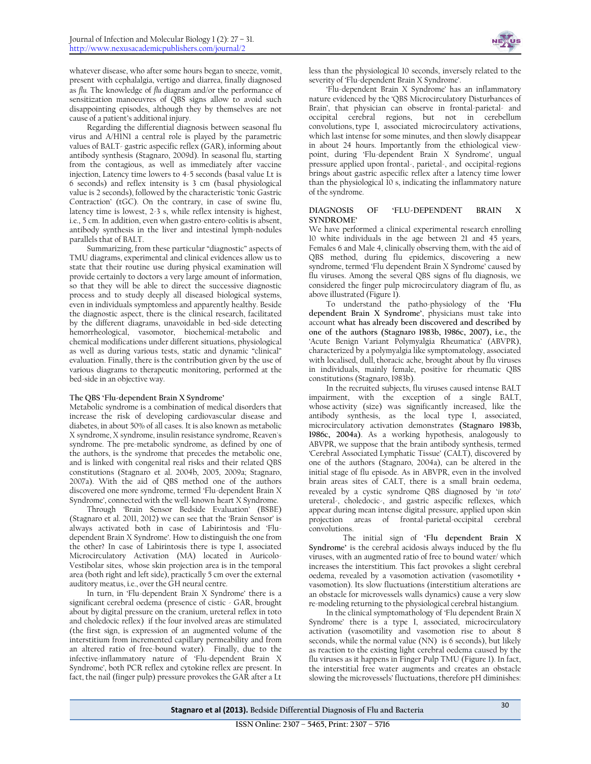whatever disease, who after some hours began to sneeze, vomit, present with cephalalgia, vertigo and diarrea, finally diagnosed as *flu.* The knowledge of *flu* diagram and/or the performance of sensitization manoeuvres of QBS signs allow to avoid such disappointing episodes, although they by themselves are not cause of a patient's additional injury.

Regarding the differential diagnosis between seasonal flu virus and A/H1N1 a central role is played by the parametric values of BALT- gastric aspecific reflex (GAR), informing about antibody synthesis (Stagnaro, 2009d). In seasonal flu, starting from the contagious, as well as immediately after vaccine injection, Latency time lowers to 4-5 seconds (basal value Lt is 6 seconds) and reflex intensity is 3 cm (basal physiological value is 2 seconds), followed by the characteristic 'tonic Gastric Contraction' (tGC). On the contrary, in case of swine flu, latency time is lowest, 2-3 s, while reflex intensity is highest, i.e., 5 cm. In addition, even when gastro-entero-colitis is absent, antibody synthesis in the liver and intestinal lymph-nodules parallels that of BALT.

Summarizing, from these particular "diagnostic" aspects of TMU diagrams, experimental and clinical evidences allow us to state that their routine use during physical examination will provide certainly to doctors a very large amount of information, so that they will be able to direct the successive diagnostic process and to study deeply all diseased biological systems, even in individuals symptomless and apparently healthy. Beside the diagnostic aspect, there is the clinical research, facilitated by the different diagrams, unavoidable in bed-side detecting hemorrheological, vasomotor, biochemical-metabolic and chemical modifications under different situations, physiological as well as during various tests, static and dynamic "clinical" evaluation. Finally, there is the contribution given by the use of various diagrams to therapeutic monitoring, performed at the bed-side in an objective way.

#### **The QBS 'Flu-dependent Brain X Syndrome'**

Metabolic syndrome is a combination o[f medical](http://en.wikipedia.org/wiki/Medicine) disorders that increase the risk of developing [cardiovascular disease](http://en.wikipedia.org/wiki/Cardiovascular_disease) and [diabetes,](http://en.wikipedia.org/wiki/Diabetes_mellitus) in about 50% of all cases. It is also known as metabolic X syndrome, X syndrome[, insulin resistance](http://en.wikipedia.org/wiki/Insulin_resistance) syndrome[, Reaven's](http://en.wikipedia.org/wiki/Gerald_Reaven) syndrome. The pre-metabolic syndrome, as defined by one of the authors, is the syndrome that precedes the metabolic one, and is linked with congenital real risks and their related QBS constitutions (Stagnaro et al. 2004b, 2005, 2009a; Stagnaro, 2007a). With the aid of QBS method one of the authors discovered one more syndrome, termed 'Flu-dependent Brain X Syndrome', connected with the well-known heart X Syndrome.

Through 'Brain Sensor Bedside Evaluation' (BSBE) (Stagnaro et al. 2011, 2012) we can see that the 'Brain Sensor' is always activated both in case of Labirintosis and 'Fludependent Brain X Syndrome'. How to distinguish the one from the other? In case of Labirintosis there is type I, associated Microcirculatory Activation (MA) located in Auricolo-Vestibolar sites, whose skin projection area is in the temporal area (both right and left side), practically 5 cm over the external auditory meatus, i.e., over the GH neural centre.

In turn, in 'Flu-dependent Brain X Syndrome' there is a significant cerebral oedema (presence of cistic - GAR, brought about by digital pressure on the cranium, ureteral reflex in toto and choledocic reflex) if the four involved areas are stimulated (the first sign, is expression of an augmented volume of the interstitium from incremented capillary permeability and from an altered ratio of free-bound water). Finally, due to the infective-inflammatory nature of 'Flu-dependent Brain X Syndrome', both PCR reflex and cytokine reflex are present. In fact, the nail (finger pulp) pressure provokes the GAR after a Lt less than the physiological 10 seconds, inversely related to the severity of 'Flu-dependent Brain X Syndrome'.

'Flu-dependent Brain X Syndrome' has an inflammatory nature evidenced by the 'QBS Microcirculatory Disturbances of Brain', that physician can observe in frontal-parietal- and occipital cerebral regions, but not in cerebellum convolutions, type I, associated microcirculatory activations, which last intense for some minutes, and then slowly disappear in about 24 hours. Importantly from the ethiological viewpoint, during 'Flu-dependent Brain X Syndrome', ungual pressure applied upon frontal-, parietal-, and occipital-regions brings about gastric aspecific reflex after a latency time lower than the physiological 10 s, indicating the inflammatory nature of the syndrome.

#### **DIAGNOSIS OF 'FLU-DEPENDENT BRAIN X SYNDROME'**

We have performed a clinical experimental research enrolling 10 white individuals in the age between 21 and 45 years, Females 6 and Male 4, clinically observing them, with the aid of QBS method, during flu epidemics, discovering a new syndrome, termed 'Flu dependent Brain X Syndrome' caused by flu viruses. Among the several QBS signs of flu diagnosis, we considered the finger pulp microcirculatory diagram of flu, as above illustrated (Figure 1).

To understand the patho-physiology of the **'Flu dependent Brain X Syndrome'**, physicians must take into account **what has already been discovered and described by one of the authors (Stagnaro 1983b, 1986c, 2007), i.e.,** the 'Acute Benign Variant Polymyalgia Rheumatica' (ABVPR), characterized by a polymyalgia like symptomatology, associated with localised, dull, thoracic ache, brought about by flu viruses in individuals, mainly female, positive for rheumatic QBS constitutions (Stagnaro, 1983b).

In the recruited subjects, flu viruses caused intense BALT impairment, with the exception of a single BALT, whose activity (size) was significantly increased, like the antibody synthesis, as the local type I, associated, microcirculatory activation demonstrates **(Stagnaro 1983b, 1986c, 2004a)**. As a working hypothesis, analogously to ABVPR, we suppose that the brain antibody synthesis, termed 'Cerebral Associated Lymphatic Tissue' (CALT), discovered by one of the authors (Stagnaro, 2004a), can be altered in the initial stage of flu episode. As in ABVPR, even in the involved brain areas sites of CALT, there is a small brain oedema, revealed by a cystic syndrome QBS diagnosed by '*in toto'* ureteral-, choledocic-, and gastric aspecific reflexes, which appear during mean intense digital pressure, applied upon skin projection areas of frontal-parietal-occipital cerebral convolutions.

The initial sign of **'Flu dependent Brain X Syndrome'** is the cerebral acidosis always induced by the flu viruses, with an augmented ratio of free to bound water/ which increases the interstitium. This fact provokes a slight cerebral oedema, revealed by a vasomotion activation (vasomotility + vasomotion). Its slow fluctuations (interstitium alterations are an obstacle for microvessels walls dynamics) cause a very slow re-modeling returning to the physiological cerebral histangium.

In the clinical symptomathology of 'Flu dependent Brain X Syndrome' there is a type I, associated, microcirculatory activation (vasomotility and vasomotion rise to about 8 seconds, while the normal value (NN) is 6 seconds), but likely as reaction to the existing light cerebral oedema caused by the flu viruses as it happens in Finger Pulp TMU (Figure 1). In fact, the interstitial free water augments and creates an obstacle slowing the microvessels' fluctuations, therefore pH diminishes: